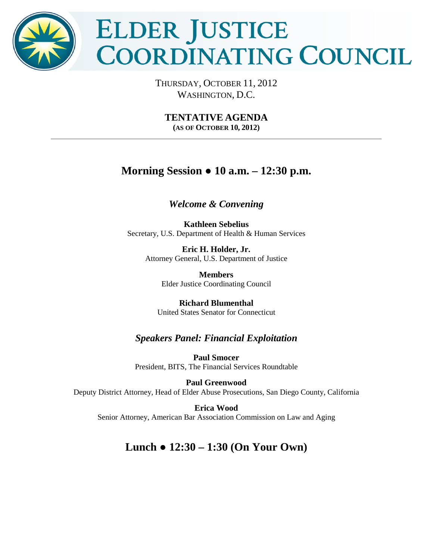

# ELDER JUSTICE **COORDINATING COUNCIL**

THURSDAY, OCTOBER 11, 2012 WASHINGTON, D.C.

**TENTATIVE AGENDA (AS OF OCTOBER 10, 2012)** 

## **Morning Session ● 10 a.m. – 12:30 p.m.**

## *Welcome & Convening*

**Kathleen Sebelius** Secretary, U.S. Department of Health & Human Services

**Eric H. Holder, Jr.**  Attorney General, U.S. Department of Justice

> **Members** Elder Justice Coordinating Council

**Richard Blumenthal** United States Senator for Connecticut

## *Speakers Panel: Financial Exploitation*

**Paul Smocer** President, BITS, The Financial Services Roundtable

**Paul Greenwood** Deputy District Attorney, Head of Elder Abuse Prosecutions, San Diego County, California

**Erica Wood**  Senior Attorney, American Bar Association Commission on Law and Aging

# **Lunch ● 12:30 – 1:30 (On Your Own)**